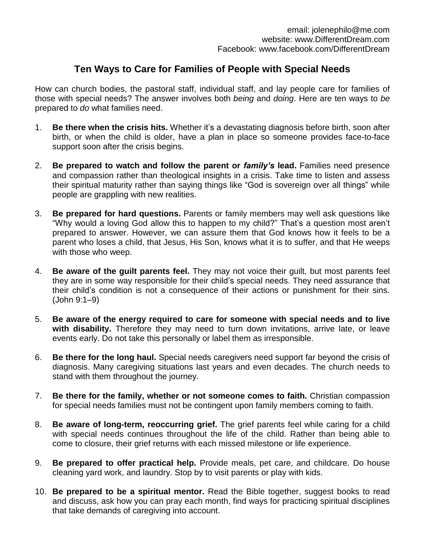## **Ten Ways to Care for Families of People with Special Needs**

How can church bodies, the pastoral staff, individual staff, and lay people care for families of those with special needs? The answer involves both *being* and *doing*. Here are ten ways to *be* prepared to *do* what families need.

- 1. *Be there when the crisis hits.* Whether it's a devastating diagnosis before birth, soon after birth, or when the child is older, have a plan in place so someone provides face-to-face support soon after the crisis begins.
- 2. *Be prepared to watch and follow the parent or family's lead.* Families need presence and compassion rather than theological insights in a crisis. Take time to listen and assess their spiritual maturity rather than saying things like "God is sovereign over all things" while people are grappling with new realities.
- 3. *Be prepared for hard questions***.** Parents or family members may well ask questions like "Why would a loving God allow this to happen to my child?" That's a question most aren't prepared to answer. However, we can assure them that God knows how it feels to be a parent who loses a child, that Jesus, His Son, knows what it is to suffer, and that He weeps with those who weep.
- 4. *Be aware of the guilt parents feel.* They may not voice their guilt, but most parents feel they are in some way responsible for their child's special needs. They need assurance that their child's condition is not a consequence of their actions or punishment for their sins. (John 9:1–9)
- 5. *Be aware of the energy required to care for someone with special needs and to live with disability.* Therefore they may need to turn down invitations, arrive late, or leave events early. Do not take this personally or label them as irresponsible.
- 6. *Be there for the long haul.* Special needs caregivers need support far beyond the crisis of diagnosis. Many caregiving situations last years and even decades. The church needs to stand with them throughout the journey.
- 7. *Be there for the family, whether or not someone comes to faith.* Christian compassion for special needs families must not be contingent upon family members coming to faith.
- 8. *Be aware of long-term, reoccurring grief.* The grief parents feel while caring for a child with special needs continues throughout the life of the child. Rather than being able to come to closure, their grief returns with each missed milestone or life experience.
- 9. *Be prepared to offer practical help.* Provide meals, pet care, and childcare. Do house cleaning yard work, and laundry. Stop by to visit parents or play with kids.
- 10. *Be prepared to be a spiritual mentor.* Read the Bible together, suggest books to read and discuss, ask how you can pray each month, find ways for practicing spiritual disciplines that take demands of caregiving into account.